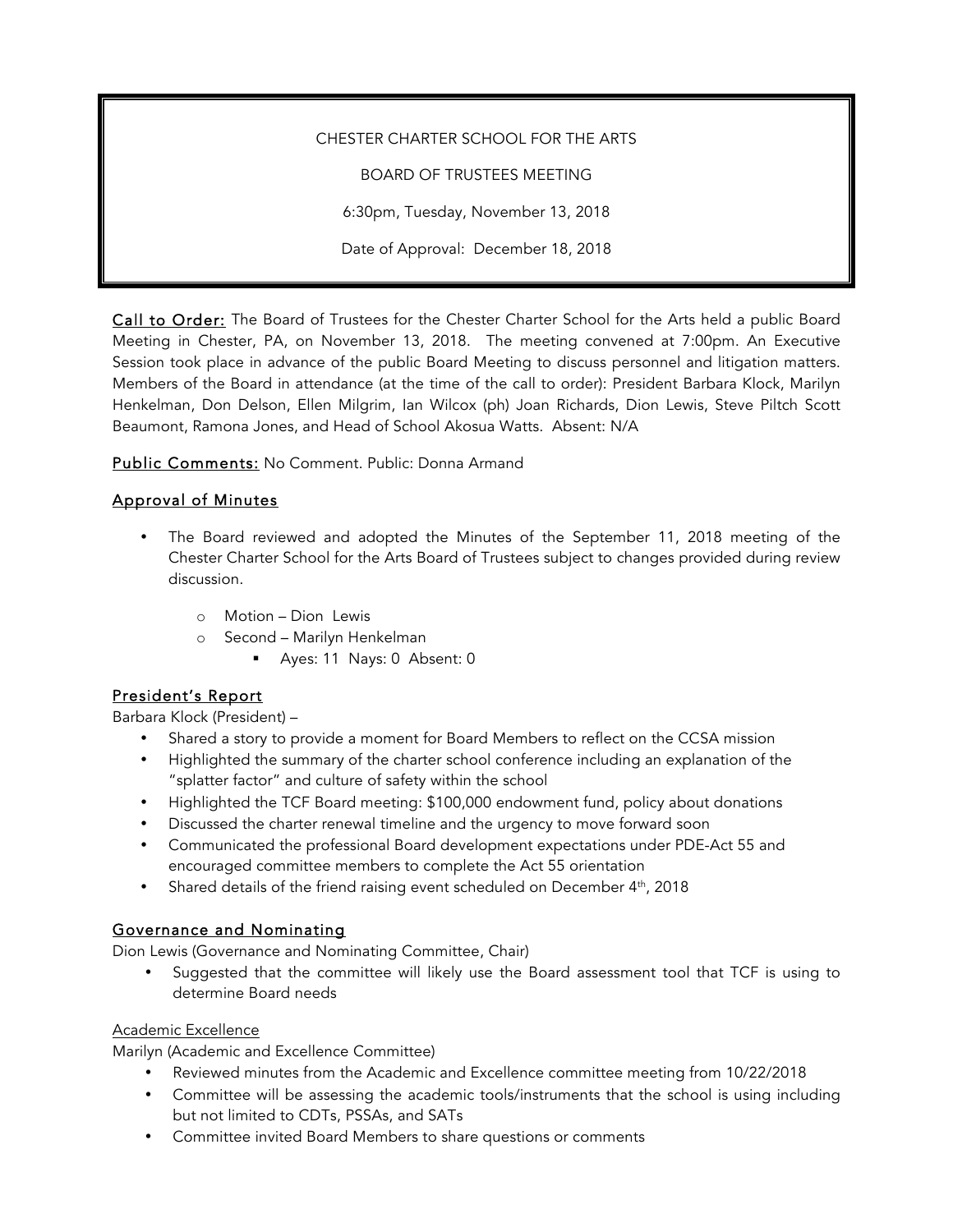CHESTER CHARTER SCHOOL FOR THE ARTS BOARD OF TRUSTEES MEETING 6:30pm, Tuesday, November 13, 2018 Date of Approval: December 18, 2018

Call to Order: The Board of Trustees for the Chester Charter School for the Arts held a public Board Meeting in Chester, PA, on November 13, 2018. The meeting convened at 7:00pm. An Executive Session took place in advance of the public Board Meeting to discuss personnel and litigation matters. Members of the Board in attendance (at the time of the call to order): President Barbara Klock, Marilyn Henkelman, Don Delson, Ellen Milgrim, Ian Wilcox (ph) Joan Richards, Dion Lewis, Steve Piltch Scott Beaumont, Ramona Jones, and Head of School Akosua Watts. Absent: N/A

Public Comments: No Comment. Public: Donna Armand

## Approval of Minutes

- The Board reviewed and adopted the Minutes of the September 11, 2018 meeting of the Chester Charter School for the Arts Board of Trustees subject to changes provided during review discussion.
	- o Motion Dion Lewis
	- o Second Marilyn Henkelman
		- § Ayes: 11 Nays: 0 Absent: 0

## President's Report

Barbara Klock (President) –

- Shared a story to provide a moment for Board Members to reflect on the CCSA mission
- Highlighted the summary of the charter school conference including an explanation of the "splatter factor" and culture of safety within the school
- Highlighted the TCF Board meeting: \$100,000 endowment fund, policy about donations
- Discussed the charter renewal timeline and the urgency to move forward soon
- Communicated the professional Board development expectations under PDE-Act 55 and encouraged committee members to complete the Act 55 orientation
- Shared details of the friend raising event scheduled on December 4<sup>th</sup>, 2018

## Governance and Nominating

Dion Lewis (Governance and Nominating Committee, Chair)

• Suggested that the committee will likely use the Board assessment tool that TCF is using to determine Board needs

#### Academic Excellence

Marilyn (Academic and Excellence Committee)

- Reviewed minutes from the Academic and Excellence committee meeting from 10/22/2018
- Committee will be assessing the academic tools/instruments that the school is using including but not limited to CDTs, PSSAs, and SATs
- Committee invited Board Members to share questions or comments